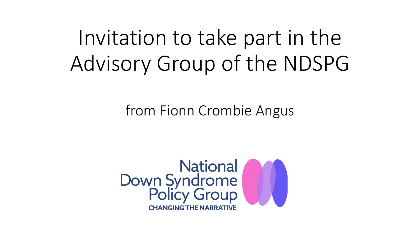## Invitation to take part in the Advisory Group of the NDSPG

from Fionn Crombie Angus

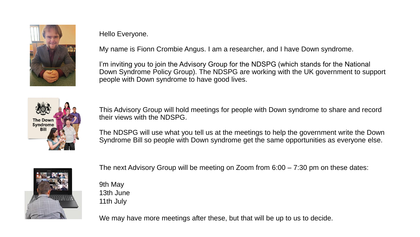

Hello Everyone.

My name is Fionn Crombie Angus. I am a researcher, and I have Down syndrome.

I'm inviting you to join the Advisory Group for the NDSPG (which stands for the National Down Syndrome Policy Group). The NDSPG are working with the UK government to support people with Down syndrome to have good lives.



This Advisory Group will hold meetings for people with Down syndrome to share and record their views with the NDSPG.

The NDSPG will use what you tell us at the meetings to help the government write the Down Syndrome Bill so people with Down syndrome get the same opportunities as everyone else.



The next Advisory Group will be meeting on Zoom from 6:00 – 7:30 pm on these dates:

9th May 13th June 11th July

We may have more meetings after these, but that will be up to us to decide.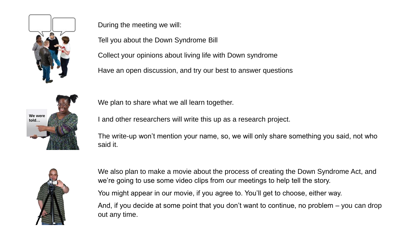

During the meeting we will:

Tell you about the Down Syndrome Bill

Collect your opinions about living life with Down syndrome

Have an open discussion, and try our best to answer questions



We plan to share what we all learn together.

I and other researchers will write this up as a research project.

The write-up won't mention your name, so, we will only share something you said, not who said it.



We also plan to make a movie about the process of creating the Down Syndrome Act, and we're going to use some video clips from our meetings to help tell the story.

You might appear in our movie, if you agree to. You'll get to choose, either way.

And, if you decide at some point that you don't want to continue, no problem – you can drop out any time.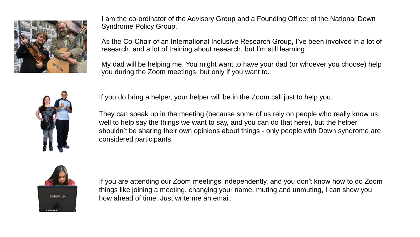

I am the co-ordinator of the Advisory Group and a Founding Officer of the National Down Syndrome Policy Group.

As the Co-Chair of an International Inclusive Research Group, I've been involved in a lot of research, and a lot of training about research, but I'm still learning.

My dad will be helping me. You might want to have your dad (or whoever you choose) help you during the Zoom meetings, but only if you want to.



If you do bring a helper, your helper will be in the Zoom call just to help you.

They can speak up in the meeting (because some of us rely on people who really know us well to help say the things we want to say, and you can do that here), but the helper shouldn't be sharing their own opinions about things - only people with Down syndrome are considered participants.



If you are attending our Zoom meetings independently, and you don't know how to do Zoom things like joining a meeting, changing your name, muting and unmuting, I can show you how ahead of time. Just write me an email.